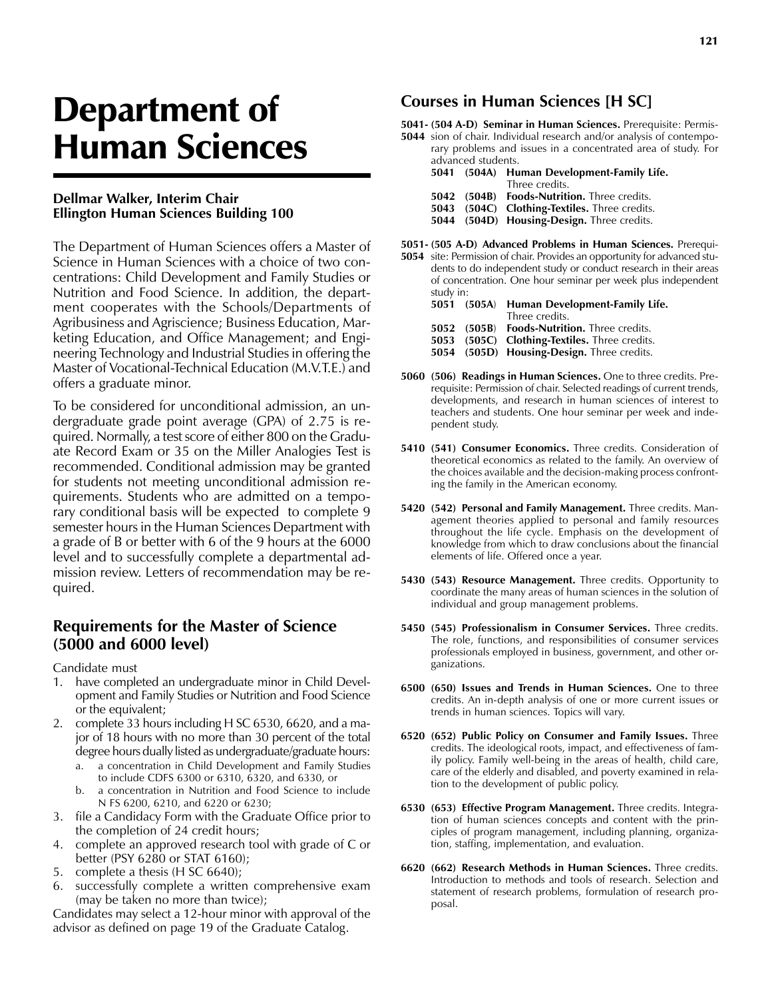# Department of Human Sciences

#### **Dellmar Walker, Interim Chair Ellington Human Sciences Building 100**

The Department of Human Sciences offers a Master of Science in Human Sciences with a choice of two concentrations: Child Development and Family Studies or Nutrition and Food Science. In addition, the department cooperates with the Schools/Departments of Agribusiness and Agriscience; Business Education, Marketing Education, and Office Management; and Engineering Technology and Industrial Studies in offering the Master of Vocational-Technical Education (M.V.T.E.) and offers a graduate minor.

To be considered for unconditional admission, an undergraduate grade point average (GPA) of 2.75 is required. Normally, a test score of either 800 on the Graduate Record Exam or 35 on the Miller Analogies Test is recommended. Conditional admission may be granted for students not meeting unconditional admission requirements. Students who are admitted on a temporary conditional basis will be expected to complete 9 semester hours in the Human Sciences Department with a grade of B or better with 6 of the 9 hours at the 6000 level and to successfully complete a departmental admission review. Letters of recommendation may be required.

#### **Requirements for the Master of Science (5000 and 6000 level)**

Candidate must

- 1. have completed an undergraduate minor in Child Development and Family Studies or Nutrition and Food Science or the equivalent;
- 2. complete 33 hours including H SC 6530, 6620, and a major of 18 hours with no more than 30 percent of the total degree hours dually listed as undergraduate/graduate hours:
	- a. a concentration in Child Development and Family Studies to include CDFS 6300 or 6310, 6320, and 6330, or
	- b. a concentration in Nutrition and Food Science to include N FS 6200, 6210, and 6220 or 6230;
- 3. file a Candidacy Form with the Graduate Office prior to the completion of 24 credit hours;
- 4. complete an approved research tool with grade of C or better (PSY 6280 or STAT 6160);
- 5. complete a thesis (H SC 6640);
- 6. successfully complete a written comprehensive exam (may be taken no more than twice);

Candidates may select a 12-hour minor with approval of the advisor as defined on page 19 of the Graduate Catalog.

#### **Courses in Human Sciences [H SC]**

**5041- (504 A-D) Seminar in Human Sciences.** Prerequisite: Permis-**5044** sion of chair. Individual research and/or analysis of contemporary problems and issues in a concentrated area of study. For aced students

| auvanceu stuuents. |  |                                               |  |  |
|--------------------|--|-----------------------------------------------|--|--|
|                    |  | 5041 (504A) Human Development-Family Life.    |  |  |
|                    |  | Three credits.                                |  |  |
|                    |  | 5042 (504B) Foods-Nutrition. Three credits.   |  |  |
|                    |  | 5043 (504C) Clothing-Textiles. Three credits. |  |  |
|                    |  | 5044 (504D) Housing-Design. Three credits.    |  |  |
|                    |  |                                               |  |  |

- **5051- (505 A-D) Advanced Problems in Human Sciences.** Prerequi-
- **5054** site: Permission of chair. Provides an opportunity for advanced students to do independent study or conduct research in their areas of concentration. One hour seminar per week plus independent study in:<br> $\overline{50}$   $(50)$   $\overline{11}$

|  | 5051 (505A) Human Development-Family Life.    |
|--|-----------------------------------------------|
|  | Three credits.                                |
|  | 5052 (505B) Foods-Nutrition. Three credits.   |
|  | 5053 (505C) Clothing-Textiles. Three credits. |
|  | 5054 (505D) Housing-Design. Three credits.    |

- **5060 (506) Readings in Human Sciences.** One to three credits. Prerequisite: Permission of chair. Selected readings of current trends, developments, and research in human sciences of interest to teachers and students. One hour seminar per week and independent study.
- **5410 (541) Consumer Economics.** Three credits. Consideration of theoretical economics as related to the family. An overview of the choices available and the decision-making process confronting the family in the American economy.
- **5420 (542) Personal and Family Management.** Three credits. Management theories applied to personal and family resources throughout the life cycle. Emphasis on the development of knowledge from which to draw conclusions about the financial elements of life. Offered once a year.
- **5430 (543) Resource Management.** Three credits. Opportunity to coordinate the many areas of human sciences in the solution of individual and group management problems.
- **5450 (545) Professionalism in Consumer Services.** Three credits. The role, functions, and responsibilities of consumer services professionals employed in business, government, and other organizations.
- **6500 (650) Issues and Trends in Human Sciences.** One to three credits. An in-depth analysis of one or more current issues or trends in human sciences. Topics will vary.
- **6520 (652) Public Policy on Consumer and Family Issues.** Three credits. The ideological roots, impact, and effectiveness of family policy. Family well-being in the areas of health, child care, care of the elderly and disabled, and poverty examined in relation to the development of public policy.
- **6530 (653) Effective Program Management.** Three credits. Integration of human sciences concepts and content with the principles of program management, including planning, organization, staffing, implementation, and evaluation.
- **6620 (662) Research Methods in Human Sciences.** Three credits. Introduction to methods and tools of research. Selection and statement of research problems, formulation of research proposal.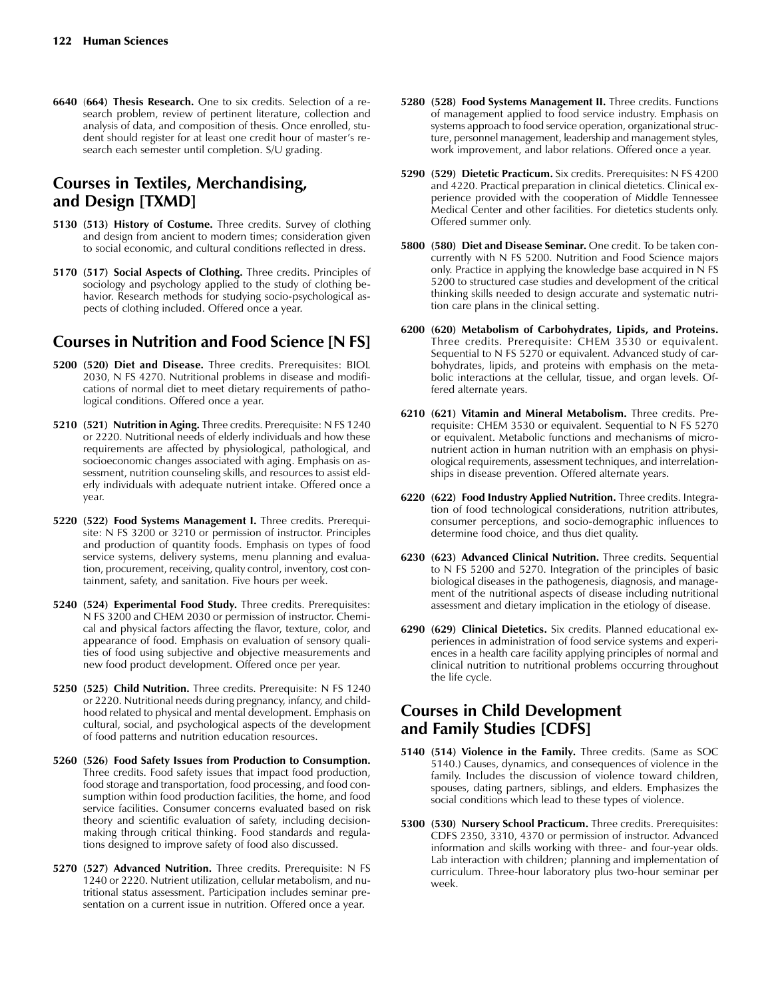**6640** (**664) Thesis Research.** One to six credits. Selection of a research problem, review of pertinent literature, collection and analysis of data, and composition of thesis. Once enrolled, student should register for at least one credit hour of master's research each semester until completion. S/U grading.

# **Courses in Textiles, Merchandising, and Design [TXMD]**

- **5130 (513) History of Costume.** Three credits. Survey of clothing and design from ancient to modern times; consideration given to social economic, and cultural conditions reflected in dress.
- **5170 (517) Social Aspects of Clothing.** Three credits. Principles of sociology and psychology applied to the study of clothing behavior. Research methods for studying socio-psychological aspects of clothing included. Offered once a year.

## **Courses in Nutrition and Food Science [N FS]**

- **5200 (520) Diet and Disease.** Three credits. Prerequisites: BIOL 2030, N FS 4270. Nutritional problems in disease and modifications of normal diet to meet dietary requirements of pathological conditions. Offered once a year.
- **5210 (521) Nutrition in Aging.** Three credits. Prerequisite: N FS 1240 or 2220. Nutritional needs of elderly individuals and how these requirements are affected by physiological, pathological, and socioeconomic changes associated with aging. Emphasis on assessment, nutrition counseling skills, and resources to assist elderly individuals with adequate nutrient intake. Offered once a year.
- **5220 (522) Food Systems Management I.** Three credits. Prerequisite: N FS 3200 or 3210 or permission of instructor. Principles and production of quantity foods. Emphasis on types of food service systems, delivery systems, menu planning and evaluation, procurement, receiving, quality control, inventory, cost containment, safety, and sanitation. Five hours per week.
- **5240 (524) Experimental Food Study.** Three credits. Prerequisites: N FS 3200 and CHEM 2030 or permission of instructor. Chemical and physical factors affecting the flavor, texture, color, and appearance of food. Emphasis on evaluation of sensory qualities of food using subjective and objective measurements and new food product development. Offered once per year.
- **5250 (525) Child Nutrition.** Three credits. Prerequisite: N FS 1240 or 2220. Nutritional needs during pregnancy, infancy, and childhood related to physical and mental development. Emphasis on cultural, social, and psychological aspects of the development of food patterns and nutrition education resources.
- **5260 (526) Food Safety Issues from Production to Consumption.** Three credits. Food safety issues that impact food production, food storage and transportation, food processing, and food consumption within food production facilities, the home, and food service facilities. Consumer concerns evaluated based on risk theory and scientific evaluation of safety, including decisionmaking through critical thinking. Food standards and regulations designed to improve safety of food also discussed.
- **5270 (527) Advanced Nutrition.** Three credits. Prerequisite: N FS 1240 or 2220. Nutrient utilization, cellular metabolism, and nutritional status assessment. Participation includes seminar presentation on a current issue in nutrition. Offered once a year.
- **5280 (528) Food Systems Management II.** Three credits. Functions of management applied to food service industry. Emphasis on systems approach to food service operation, organizational structure, personnel management, leadership and management styles, work improvement, and labor relations. Offered once a year.
- **5290 (529) Dietetic Practicum.** Six credits. Prerequisites: N FS 4200 and 4220. Practical preparation in clinical dietetics. Clinical experience provided with the cooperation of Middle Tennessee Medical Center and other facilities. For dietetics students only. Offered summer only.
- **5800 (580) Diet and Disease Seminar.** One credit. To be taken concurrently with N FS 5200. Nutrition and Food Science majors only. Practice in applying the knowledge base acquired in N FS 5200 to structured case studies and development of the critical thinking skills needed to design accurate and systematic nutrition care plans in the clinical setting.
- **6200 (620) Metabolism of Carbohydrates, Lipids, and Proteins.** Three credits. Prerequisite: CHEM 3530 or equivalent. Sequential to N FS 5270 or equivalent. Advanced study of carbohydrates, lipids, and proteins with emphasis on the metabolic interactions at the cellular, tissue, and organ levels. Offered alternate years.
- **6210 (621) Vitamin and Mineral Metabolism.** Three credits. Prerequisite: CHEM 3530 or equivalent. Sequential to N FS 5270 or equivalent. Metabolic functions and mechanisms of micronutrient action in human nutrition with an emphasis on physiological requirements, assessment techniques, and interrelationships in disease prevention. Offered alternate years.
- **6220 (622) Food Industry Applied Nutrition.** Three credits. Integration of food technological considerations, nutrition attributes, consumer perceptions, and socio-demographic influences to determine food choice, and thus diet quality.
- **6230 (623) Advanced Clinical Nutrition.** Three credits. Sequential to N FS 5200 and 5270. Integration of the principles of basic biological diseases in the pathogenesis, diagnosis, and management of the nutritional aspects of disease including nutritional assessment and dietary implication in the etiology of disease.
- **6290 (629) Clinical Dietetics.** Six credits. Planned educational experiences in administration of food service systems and experiences in a health care facility applying principles of normal and clinical nutrition to nutritional problems occurring throughout the life cycle.

## **Courses in Child Development and Family Studies [CDFS]**

- **5140 (514) Violence in the Family.** Three credits. (Same as SOC 5140.) Causes, dynamics, and consequences of violence in the family. Includes the discussion of violence toward children, spouses, dating partners, siblings, and elders. Emphasizes the social conditions which lead to these types of violence.
- **5300 (530) Nursery School Practicum.** Three credits. Prerequisites: CDFS 2350, 3310, 4370 or permission of instructor. Advanced information and skills working with three- and four-year olds. Lab interaction with children; planning and implementation of curriculum. Three-hour laboratory plus two-hour seminar per week.